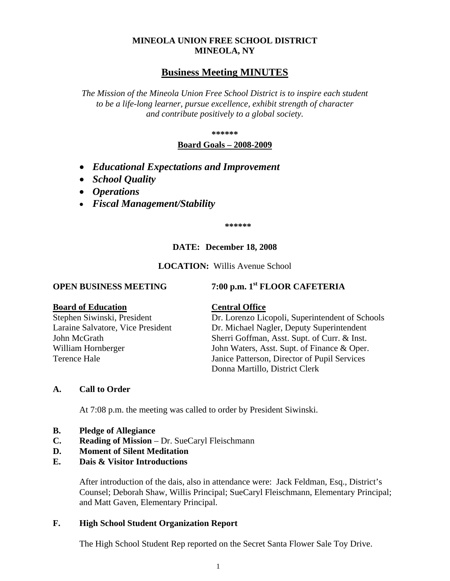## **MINEOLA UNION FREE SCHOOL DISTRICT MINEOLA, NY**

## **Business Meeting MINUTES**

*The Mission of the Mineola Union Free School District is to inspire each student to be a life-long learner, pursue excellence, exhibit strength of character and contribute positively to a global society.*

**\*\*\*\*\*\***

## **Board Goals – 2008-2009**

- *Educational Expectations and Improvement*
- *School Quality*
- *Operations*
- *Fiscal Management/Stability*

**\*\*\*\*\*\***

## **DATE: December 18, 2008**

**LOCATION:** Willis Avenue School

**OPEN BUSINESS MEETING 7:00 p.m. 1st FLOOR CAFETERIA**

#### **Board of Education Central Office**

Stephen Siwinski, President Dr. Lorenzo Licopoli, Superintendent of Schools Laraine Salvatore, Vice President Dr. Michael Nagler, Deputy Superintendent John McGrath Sherri Goffman, Asst. Supt. of Curr. & Inst. William Hornberger John Waters, Asst. Supt. of Finance & Oper. Terence Hale Janice Patterson, Director of Pupil Services Donna Martillo, District Clerk

## **A. Call to Order**

At 7:08 p.m. the meeting was called to order by President Siwinski.

- **B. Pledge of Allegiance**
- **C. Reading of Mission** Dr. SueCaryl Fleischmann
- **D. Moment of Silent Meditation**
- **E. Dais & Visitor Introductions**

After introduction of the dais, also in attendance were: Jack Feldman, Esq., District's Counsel; Deborah Shaw, Willis Principal; SueCaryl Fleischmann, Elementary Principal; and Matt Gaven, Elementary Principal.

## **F. High School Student Organization Report**

The High School Student Rep reported on the Secret Santa Flower Sale Toy Drive.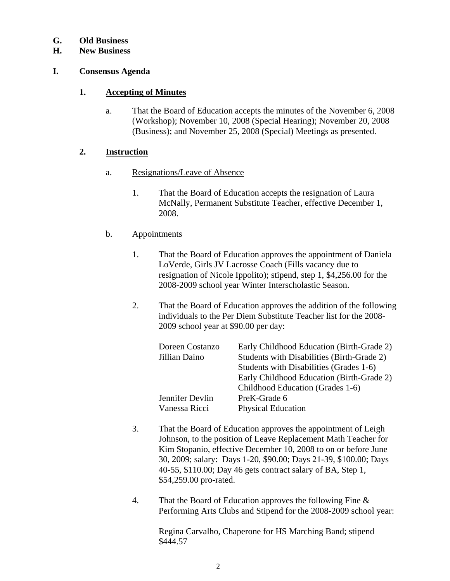## **G. Old Business**

## **H. New Business**

## **I. Consensus Agenda**

## **1. Accepting of Minutes**

a. That the Board of Education accepts the minutes of the November 6, 2008 (Workshop); November 10, 2008 (Special Hearing); November 20, 2008 (Business); and November 25, 2008 (Special) Meetings as presented.

## **2. Instruction**

- a. Resignations/Leave of Absence
	- 1. That the Board of Education accepts the resignation of Laura McNally, Permanent Substitute Teacher, effective December 1, 2008.

## b. Appointments

- 1. That the Board of Education approves the appointment of Daniela LoVerde, Girls JV Lacrosse Coach (Fills vacancy due to resignation of Nicole Ippolito); stipend, step 1, \$4,256.00 for the 2008-2009 school year Winter Interscholastic Season.
- 2. That the Board of Education approves the addition of the following individuals to the Per Diem Substitute Teacher list for the 2008- 2009 school year at \$90.00 per day:

| Doreen Costanzo | Early Childhood Education (Birth-Grade 2)  |
|-----------------|--------------------------------------------|
| Jillian Daino   | Students with Disabilities (Birth-Grade 2) |
|                 | Students with Disabilities (Grades 1-6)    |
|                 | Early Childhood Education (Birth-Grade 2)  |
|                 | Childhood Education (Grades 1-6)           |
| Jennifer Devlin | PreK-Grade 6                               |
| Vanessa Ricci   | <b>Physical Education</b>                  |

- 3. That the Board of Education approves the appointment of Leigh Johnson, to the position of Leave Replacement Math Teacher for Kim Stopanio, effective December 10, 2008 to on or before June 30, 2009; salary: Days 1-20, \$90.00; Days 21-39, \$100.00; Days 40-55, \$110.00; Day 46 gets contract salary of BA, Step 1, \$54,259.00 pro-rated.
- 4. That the Board of Education approves the following Fine & Performing Arts Clubs and Stipend for the 2008-2009 school year:

Regina Carvalho, Chaperone for HS Marching Band; stipend \$444.57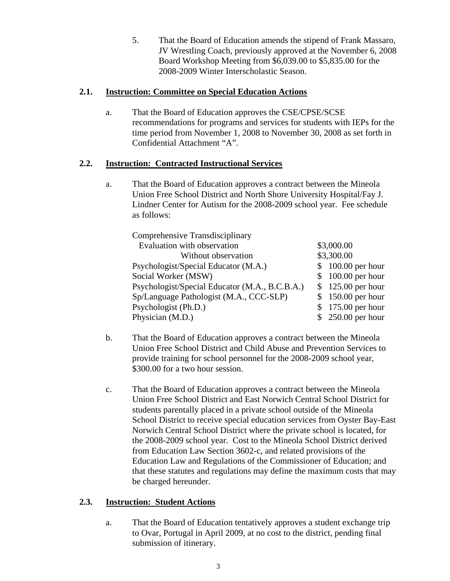5. That the Board of Education amends the stipend of Frank Massaro, JV Wrestling Coach, previously approved at the November 6, 2008 Board Workshop Meeting from \$6,039.00 to \$5,835.00 for the 2008-2009 Winter Interscholastic Season.

## **2.1. Instruction: Committee on Special Education Actions**

a. That the Board of Education approves the CSE/CPSE/SCSE recommendations for programs and services for students with IEPs for the time period from November 1, 2008 to November 30, 2008 as set forth in Confidential Attachment "A".

## **2.2. Instruction: Contracted Instructional Services**

a. That the Board of Education approves a contract between the Mineola Union Free School District and North Shore University Hospital/Fay J. Lindner Center for Autism for the 2008-2009 school year. Fee schedule as follows:

| Comprehensive Transdisciplinary                |                    |
|------------------------------------------------|--------------------|
| Evaluation with observation                    | \$3,000.00         |
| Without observation                            | \$3,300.00         |
| Psychologist/Special Educator (M.A.)           | $$100.00$ per hour |
| Social Worker (MSW)                            | \$100.00 per hour  |
| Psychologist/Special Educator (M.A., B.C.B.A.) | \$125.00 per hour  |
| Sp/Language Pathologist (M.A., CCC-SLP)        | \$150.00 per hour  |
| Psychologist (Ph.D.)                           | $175.00$ per hour  |
| Physician (M.D.)                               | \$250.00 per hour  |

- b. That the Board of Education approves a contract between the Mineola Union Free School District and Child Abuse and Prevention Services to provide training for school personnel for the 2008-2009 school year, \$300.00 for a two hour session.
- c. That the Board of Education approves a contract between the Mineola Union Free School District and East Norwich Central School District for students parentally placed in a private school outside of the Mineola School District to receive special education services from Oyster Bay-East Norwich Central School District where the private school is located, for the 2008-2009 school year. Cost to the Mineola School District derived from Education Law Section 3602-c, and related provisions of the Education Law and Regulations of the Commissioner of Education; and that these statutes and regulations may define the maximum costs that may be charged hereunder.

## **2.3. Instruction: Student Actions**

a. That the Board of Education tentatively approves a student exchange trip to Ovar, Portugal in April 2009, at no cost to the district, pending final submission of itinerary.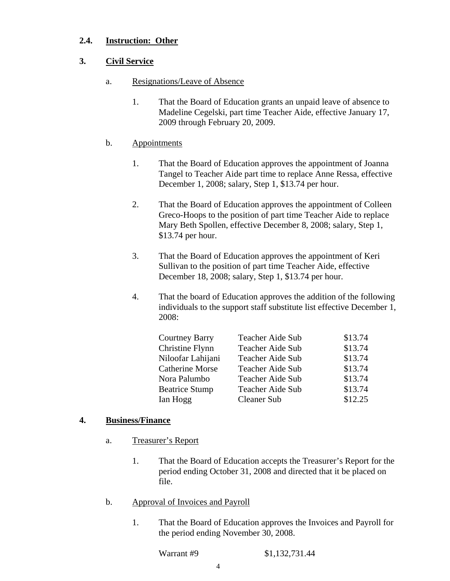## **2.4. Instruction: Other**

## **3. Civil Service**

- a. Resignations/Leave of Absence
	- 1. That the Board of Education grants an unpaid leave of absence to Madeline Cegelski, part time Teacher Aide, effective January 17, 2009 through February 20, 2009.

## b. Appointments

- 1. That the Board of Education approves the appointment of Joanna Tangel to Teacher Aide part time to replace Anne Ressa, effective December 1, 2008; salary, Step 1, \$13.74 per hour.
- 2. That the Board of Education approves the appointment of Colleen Greco-Hoops to the position of part time Teacher Aide to replace Mary Beth Spollen, effective December 8, 2008; salary, Step 1, \$13.74 per hour.
- 3. That the Board of Education approves the appointment of Keri Sullivan to the position of part time Teacher Aide, effective December 18, 2008; salary, Step 1, \$13.74 per hour.
- 4. That the board of Education approves the addition of the following individuals to the support staff substitute list effective December 1, 2008:

| Teacher Aide Sub   | \$13.74 |
|--------------------|---------|
| Teacher Aide Sub   | \$13.74 |
| Teacher Aide Sub   | \$13.74 |
| Teacher Aide Sub   | \$13.74 |
| Teacher Aide Sub   | \$13.74 |
| Teacher Aide Sub   | \$13.74 |
| <b>Cleaner Sub</b> | \$12.25 |
|                    |         |

## **4. Business/Finance**

- a. Treasurer's Report
	- 1. That the Board of Education accepts the Treasurer's Report for the period ending October 31, 2008 and directed that it be placed on file.
- b. Approval of Invoices and Payroll
	- 1. That the Board of Education approves the Invoices and Payroll for the period ending November 30, 2008.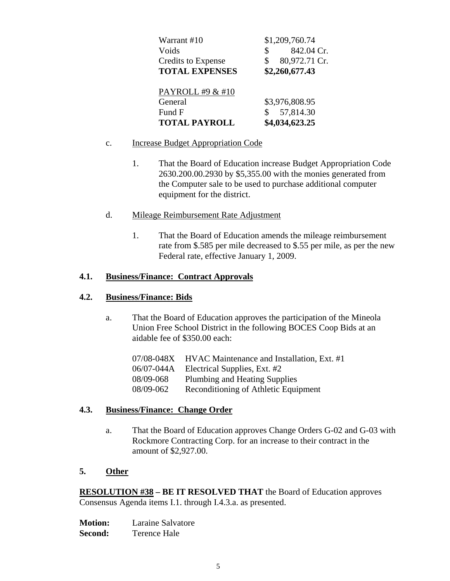| Warrant #10               | \$1,209,760.74   |
|---------------------------|------------------|
| Voids                     | 842.04 Cr.<br>\$ |
| <b>Credits to Expense</b> | 80,972.71 Cr.    |
| <b>TOTAL EXPENSES</b>     | \$2,260,677.43   |
|                           |                  |
| PAYROLL #9 & #10          |                  |
| General                   | \$3,976,808.95   |
| Fund F                    | 57,814.30        |
| <b>TOTAL PAYROLL</b>      | \$4,034,623.25   |

## c. Increase Budget Appropriation Code

1. That the Board of Education increase Budget Appropriation Code 2630.200.00.2930 by \$5,355.00 with the monies generated from the Computer sale to be used to purchase additional computer equipment for the district.

## d. Mileage Reimbursement Rate Adjustment

1. That the Board of Education amends the mileage reimbursement rate from \$.585 per mile decreased to \$.55 per mile, as per the new Federal rate, effective January 1, 2009.

## **4.1. Business/Finance: Contract Approvals**

## **4.2. Business/Finance: Bids**

a. That the Board of Education approves the participation of the Mineola Union Free School District in the following BOCES Coop Bids at an aidable fee of \$350.00 each:

| 07/08-048X | HVAC Maintenance and Installation, Ext. #1 |
|------------|--------------------------------------------|
| 06/07-044A | Electrical Supplies, Ext. #2               |
| 08/09-068  | Plumbing and Heating Supplies              |
| 08/09-062  | Reconditioning of Athletic Equipment       |

## **4.3. Business/Finance: Change Order**

a. That the Board of Education approves Change Orders G-02 and G-03 with Rockmore Contracting Corp. for an increase to their contract in the amount of \$2,927.00.

## **5. Other**

**RESOLUTION #38 – BE IT RESOLVED THAT** the Board of Education approves Consensus Agenda items I.1. through I.4.3.a. as presented.

**Motion:** Laraine Salvatore **Second:** Terence Hale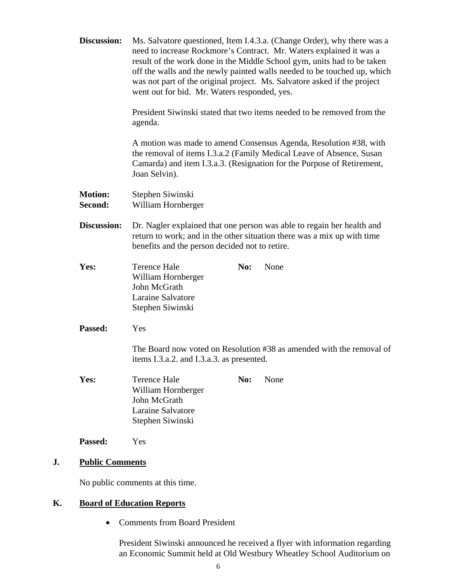|    | Discussion:               | Ms. Salvatore questioned, Item I.4.3.a. (Change Order), why there was a<br>need to increase Rockmore's Contract. Mr. Waters explained it was a<br>result of the work done in the Middle School gym, units had to be taken<br>off the walls and the newly painted walls needed to be touched up, which<br>was not part of the original project. Ms. Salvatore asked if the project<br>went out for bid. Mr. Waters responded, yes.<br>President Siwinski stated that two items needed to be removed from the<br>agenda.<br>A motion was made to amend Consensus Agenda, Resolution #38, with<br>the removal of items I.3.a.2 (Family Medical Leave of Absence, Susan<br>Camarda) and item I.3.a.3. (Resignation for the Purpose of Retirement,<br>Joan Selvin).<br>Stephen Siwinski<br>William Hornberger<br>Dr. Nagler explained that one person was able to regain her health and<br>return to work; and in the other situation there was a mix up with time<br>benefits and the person decided not to retire. |     |      |
|----|---------------------------|-----------------------------------------------------------------------------------------------------------------------------------------------------------------------------------------------------------------------------------------------------------------------------------------------------------------------------------------------------------------------------------------------------------------------------------------------------------------------------------------------------------------------------------------------------------------------------------------------------------------------------------------------------------------------------------------------------------------------------------------------------------------------------------------------------------------------------------------------------------------------------------------------------------------------------------------------------------------------------------------------------------------|-----|------|
|    |                           |                                                                                                                                                                                                                                                                                                                                                                                                                                                                                                                                                                                                                                                                                                                                                                                                                                                                                                                                                                                                                 |     |      |
|    |                           |                                                                                                                                                                                                                                                                                                                                                                                                                                                                                                                                                                                                                                                                                                                                                                                                                                                                                                                                                                                                                 |     |      |
|    | <b>Motion:</b><br>Second: |                                                                                                                                                                                                                                                                                                                                                                                                                                                                                                                                                                                                                                                                                                                                                                                                                                                                                                                                                                                                                 |     |      |
|    | <b>Discussion:</b>        |                                                                                                                                                                                                                                                                                                                                                                                                                                                                                                                                                                                                                                                                                                                                                                                                                                                                                                                                                                                                                 |     |      |
|    | Yes:                      | <b>Terence Hale</b><br>William Hornberger<br>John McGrath<br>Laraine Salvatore<br>Stephen Siwinski                                                                                                                                                                                                                                                                                                                                                                                                                                                                                                                                                                                                                                                                                                                                                                                                                                                                                                              | No: | None |
|    | Passed:                   | Yes                                                                                                                                                                                                                                                                                                                                                                                                                                                                                                                                                                                                                                                                                                                                                                                                                                                                                                                                                                                                             |     |      |
|    |                           | The Board now voted on Resolution #38 as amended with the removal of<br>items I.3.a.2. and I.3.a.3. as presented.                                                                                                                                                                                                                                                                                                                                                                                                                                                                                                                                                                                                                                                                                                                                                                                                                                                                                               |     |      |
|    | Yes:                      | <b>Terence Hale</b><br>William Hornberger<br>John McGrath<br>Laraine Salvatore<br>Stephen Siwinski                                                                                                                                                                                                                                                                                                                                                                                                                                                                                                                                                                                                                                                                                                                                                                                                                                                                                                              | No: | None |
|    | Passed:                   | Yes                                                                                                                                                                                                                                                                                                                                                                                                                                                                                                                                                                                                                                                                                                                                                                                                                                                                                                                                                                                                             |     |      |
| J. |                           | <b>Public Comments</b>                                                                                                                                                                                                                                                                                                                                                                                                                                                                                                                                                                                                                                                                                                                                                                                                                                                                                                                                                                                          |     |      |
|    |                           | No public comments at this time.                                                                                                                                                                                                                                                                                                                                                                                                                                                                                                                                                                                                                                                                                                                                                                                                                                                                                                                                                                                |     |      |

# **K. Board of Education Reports**

• Comments from Board President

President Siwinski announced he received a flyer with information regarding an Economic Summit held at Old Westbury Wheatley School Auditorium on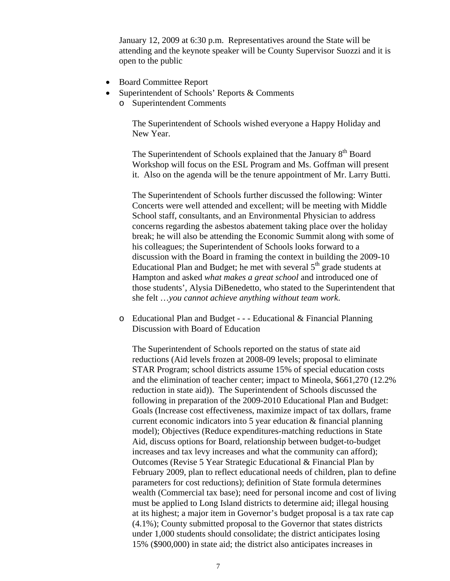January 12, 2009 at 6:30 p.m. Representatives around the State will be attending and the keynote speaker will be County Supervisor Suozzi and it is open to the public

- Board Committee Report
- Superintendent of Schools' Reports & Comments
	- o Superintendent Comments

The Superintendent of Schools wished everyone a Happy Holiday and New Year.

The Superintendent of Schools explained that the January 8<sup>th</sup> Board Workshop will focus on the ESL Program and Ms. Goffman will present it. Also on the agenda will be the tenure appointment of Mr. Larry Butti.

The Superintendent of Schools further discussed the following: Winter Concerts were well attended and excellent; will be meeting with Middle School staff, consultants, and an Environmental Physician to address concerns regarding the asbestos abatement taking place over the holiday break; he will also be attending the Economic Summit along with some of his colleagues; the Superintendent of Schools looks forward to a discussion with the Board in framing the context in building the 2009-10 Educational Plan and Budget; he met with several  $5<sup>th</sup>$  grade students at Hampton and asked *what makes a great school* and introduced one of those students', Alysia DiBenedetto, who stated to the Superintendent that she felt …*you cannot achieve anything without team work*.

o Educational Plan and Budget - - - Educational & Financial Planning Discussion with Board of Education

The Superintendent of Schools reported on the status of state aid reductions (Aid levels frozen at 2008-09 levels; proposal to eliminate STAR Program; school districts assume 15% of special education costs and the elimination of teacher center; impact to Mineola, \$661,270 (12.2% reduction in state aid)). The Superintendent of Schools discussed the following in preparation of the 2009-2010 Educational Plan and Budget: Goals (Increase cost effectiveness, maximize impact of tax dollars, frame current economic indicators into 5 year education & financial planning model); Objectives (Reduce expenditures-matching reductions in State Aid, discuss options for Board, relationship between budget-to-budget increases and tax levy increases and what the community can afford); Outcomes (Revise 5 Year Strategic Educational & Financial Plan by February 2009, plan to reflect educational needs of children, plan to define parameters for cost reductions); definition of State formula determines wealth (Commercial tax base); need for personal income and cost of living must be applied to Long Island districts to determine aid; illegal housing at its highest; a major item in Governor's budget proposal is a tax rate cap (4.1%); County submitted proposal to the Governor that states districts under 1,000 students should consolidate; the district anticipates losing 15% (\$900,000) in state aid; the district also anticipates increases in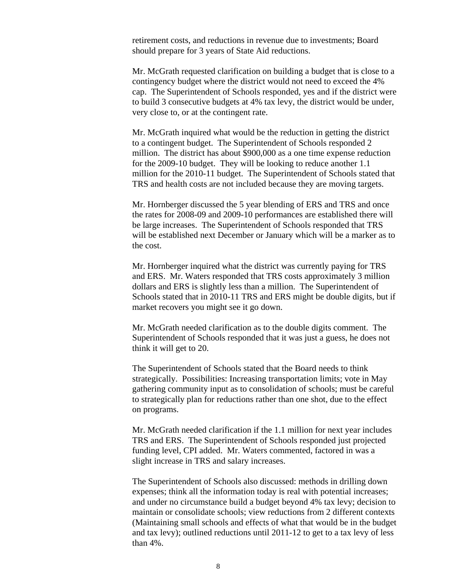retirement costs, and reductions in revenue due to investments; Board should prepare for 3 years of State Aid reductions.

Mr. McGrath requested clarification on building a budget that is close to a contingency budget where the district would not need to exceed the 4% cap. The Superintendent of Schools responded, yes and if the district were to build 3 consecutive budgets at 4% tax levy, the district would be under, very close to, or at the contingent rate.

Mr. McGrath inquired what would be the reduction in getting the district to a contingent budget. The Superintendent of Schools responded 2 million. The district has about \$900,000 as a one time expense reduction for the 2009-10 budget. They will be looking to reduce another 1.1 million for the 2010-11 budget. The Superintendent of Schools stated that TRS and health costs are not included because they are moving targets.

Mr. Hornberger discussed the 5 year blending of ERS and TRS and once the rates for 2008-09 and 2009-10 performances are established there will be large increases. The Superintendent of Schools responded that TRS will be established next December or January which will be a marker as to the cost.

Mr. Hornberger inquired what the district was currently paying for TRS and ERS. Mr. Waters responded that TRS costs approximately 3 million dollars and ERS is slightly less than a million. The Superintendent of Schools stated that in 2010-11 TRS and ERS might be double digits, but if market recovers you might see it go down.

Mr. McGrath needed clarification as to the double digits comment. The Superintendent of Schools responded that it was just a guess, he does not think it will get to 20.

The Superintendent of Schools stated that the Board needs to think strategically. Possibilities: Increasing transportation limits; vote in May gathering community input as to consolidation of schools; must be careful to strategically plan for reductions rather than one shot, due to the effect on programs.

Mr. McGrath needed clarification if the 1.1 million for next year includes TRS and ERS. The Superintendent of Schools responded just projected funding level, CPI added. Mr. Waters commented, factored in was a slight increase in TRS and salary increases.

The Superintendent of Schools also discussed: methods in drilling down expenses; think all the information today is real with potential increases; and under no circumstance build a budget beyond 4% tax levy; decision to maintain or consolidate schools; view reductions from 2 different contexts (Maintaining small schools and effects of what that would be in the budget and tax levy); outlined reductions until 2011-12 to get to a tax levy of less than 4%.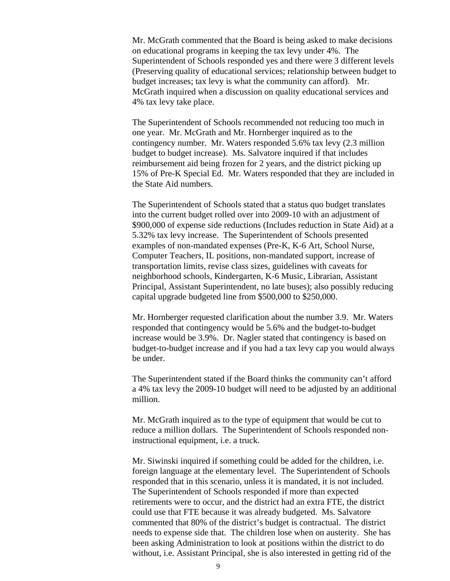Mr. McGrath commented that the Board is being asked to make decisions on educational programs in keeping the tax levy under 4%. The Superintendent of Schools responded yes and there were 3 different levels (Preserving quality of educational services; relationship between budget to budget increases; tax levy is what the community can afford). Mr. McGrath inquired when a discussion on quality educational services and 4% tax levy take place.

The Superintendent of Schools recommended not reducing too much in one year. Mr. McGrath and Mr. Hornberger inquired as to the contingency number. Mr. Waters responded 5.6% tax levy (2.3 million budget to budget increase). Ms. Salvatore inquired if that includes reimbursement aid being frozen for 2 years, and the district picking up 15% of Pre-K Special Ed. Mr. Waters responded that they are included in the State Aid numbers.

The Superintendent of Schools stated that a status quo budget translates into the current budget rolled over into 2009-10 with an adjustment of \$900,000 of expense side reductions (Includes reduction in State Aid) at a 5.32% tax levy increase. The Superintendent of Schools presented examples of non-mandated expenses (Pre-K, K-6 Art, School Nurse, Computer Teachers, IL positions, non-mandated support, increase of transportation limits, revise class sizes, guidelines with caveats for neighborhood schools, Kindergarten, K-6 Music, Librarian, Assistant Principal, Assistant Superintendent, no late buses); also possibly reducing capital upgrade budgeted line from \$500,000 to \$250,000.

Mr. Hornberger requested clarification about the number 3.9. Mr. Waters responded that contingency would be 5.6% and the budget-to-budget increase would be 3.9%. Dr. Nagler stated that contingency is based on budget-to-budget increase and if you had a tax levy cap you would always be under.

The Superintendent stated if the Board thinks the community can't afford a 4% tax levy the 2009-10 budget will need to be adjusted by an additional million.

Mr. McGrath inquired as to the type of equipment that would be cut to reduce a million dollars. The Superintendent of Schools responded noninstructional equipment, i.e. a truck.

Mr. Siwinski inquired if something could be added for the children, i.e. foreign language at the elementary level. The Superintendent of Schools responded that in this scenario, unless it is mandated, it is not included. The Superintendent of Schools responded if more than expected retirements were to occur, and the district had an extra FTE, the district could use that FTE because it was already budgeted. Ms. Salvatore commented that 80% of the district's budget is contractual. The district needs to expense side that. The children lose when on austerity. She has been asking Administration to look at positions within the district to do without, i.e. Assistant Principal, she is also interested in getting rid of the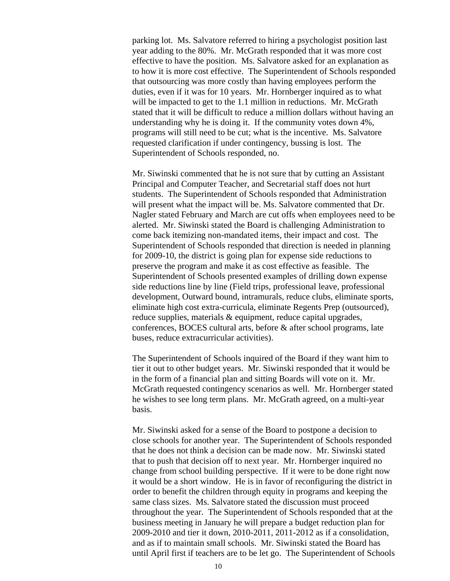parking lot. Ms. Salvatore referred to hiring a psychologist position last year adding to the 80%. Mr. McGrath responded that it was more cost effective to have the position. Ms. Salvatore asked for an explanation as to how it is more cost effective. The Superintendent of Schools responded that outsourcing was more costly than having employees perform the duties, even if it was for 10 years. Mr. Hornberger inquired as to what will be impacted to get to the 1.1 million in reductions. Mr. McGrath stated that it will be difficult to reduce a million dollars without having an understanding why he is doing it. If the community votes down 4%, programs will still need to be cut; what is the incentive. Ms. Salvatore requested clarification if under contingency, bussing is lost. The Superintendent of Schools responded, no.

Mr. Siwinski commented that he is not sure that by cutting an Assistant Principal and Computer Teacher, and Secretarial staff does not hurt students. The Superintendent of Schools responded that Administration will present what the impact will be. Ms. Salvatore commented that Dr. Nagler stated February and March are cut offs when employees need to be alerted. Mr. Siwinski stated the Board is challenging Administration to come back itemizing non-mandated items, their impact and cost. The Superintendent of Schools responded that direction is needed in planning for 2009-10, the district is going plan for expense side reductions to preserve the program and make it as cost effective as feasible. The Superintendent of Schools presented examples of drilling down expense side reductions line by line (Field trips, professional leave, professional development, Outward bound, intramurals, reduce clubs, eliminate sports, eliminate high cost extra-curricula, eliminate Regents Prep (outsourced), reduce supplies, materials & equipment, reduce capital upgrades, conferences, BOCES cultural arts, before & after school programs, late buses, reduce extracurricular activities).

The Superintendent of Schools inquired of the Board if they want him to tier it out to other budget years. Mr. Siwinski responded that it would be in the form of a financial plan and sitting Boards will vote on it. Mr. McGrath requested contingency scenarios as well. Mr. Hornberger stated he wishes to see long term plans. Mr. McGrath agreed, on a multi-year basis.

Mr. Siwinski asked for a sense of the Board to postpone a decision to close schools for another year. The Superintendent of Schools responded that he does not think a decision can be made now. Mr. Siwinski stated that to push that decision off to next year. Mr. Hornberger inquired no change from school building perspective. If it were to be done right now it would be a short window. He is in favor of reconfiguring the district in order to benefit the children through equity in programs and keeping the same class sizes. Ms. Salvatore stated the discussion must proceed throughout the year. The Superintendent of Schools responded that at the business meeting in January he will prepare a budget reduction plan for 2009-2010 and tier it down, 2010-2011, 2011-2012 as if a consolidation, and as if to maintain small schools. Mr. Siwinski stated the Board has until April first if teachers are to be let go. The Superintendent of Schools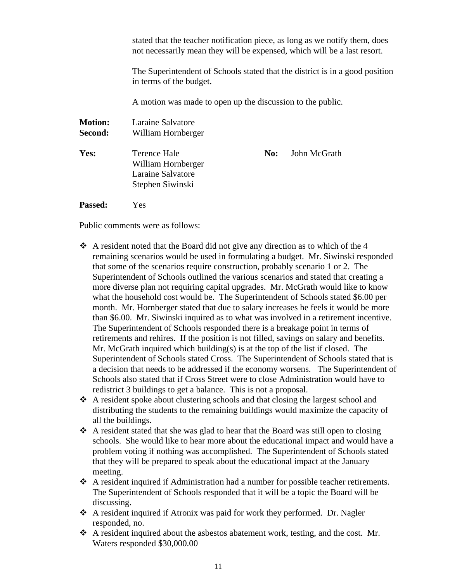stated that the teacher notification piece, as long as we notify them, does not necessarily mean they will be expensed, which will be a last resort.

The Superintendent of Schools stated that the district is in a good position in terms of the budget.

A motion was made to open up the discussion to the public.

| <b>Motion:</b><br>Second: | Laraine Salvatore<br>William Hornberger                                     |     |              |
|---------------------------|-----------------------------------------------------------------------------|-----|--------------|
| Yes:                      | Terence Hale<br>William Hornberger<br>Laraine Salvatore<br>Stephen Siwinski | No: | John McGrath |

**Passed:** Yes

Public comments were as follows:

- $\triangle$  A resident noted that the Board did not give any direction as to which of the 4 remaining scenarios would be used in formulating a budget. Mr. Siwinski responded that some of the scenarios require construction, probably scenario 1 or 2. The Superintendent of Schools outlined the various scenarios and stated that creating a more diverse plan not requiring capital upgrades. Mr. McGrath would like to know what the household cost would be. The Superintendent of Schools stated \$6.00 per month. Mr. Hornberger stated that due to salary increases he feels it would be more than \$6.00. Mr. Siwinski inquired as to what was involved in a retirement incentive. The Superintendent of Schools responded there is a breakage point in terms of retirements and rehires. If the position is not filled, savings on salary and benefits. Mr. McGrath inquired which building(s) is at the top of the list if closed. The Superintendent of Schools stated Cross. The Superintendent of Schools stated that is a decision that needs to be addressed if the economy worsens. The Superintendent of Schools also stated that if Cross Street were to close Administration would have to redistrict 3 buildings to get a balance. This is not a proposal.
- $\triangle$  A resident spoke about clustering schools and that closing the largest school and distributing the students to the remaining buildings would maximize the capacity of all the buildings.
- $\triangle$  A resident stated that she was glad to hear that the Board was still open to closing schools. She would like to hear more about the educational impact and would have a problem voting if nothing was accomplished. The Superintendent of Schools stated that they will be prepared to speak about the educational impact at the January meeting.
- A resident inquired if Administration had a number for possible teacher retirements. The Superintendent of Schools responded that it will be a topic the Board will be discussing.
- A resident inquired if Atronix was paid for work they performed. Dr. Nagler responded, no.
- A resident inquired about the asbestos abatement work, testing, and the cost. Mr. Waters responded \$30,000.00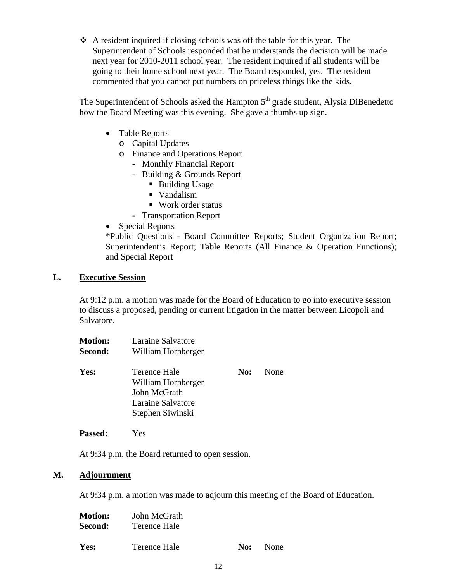$\triangle$  A resident inquired if closing schools was off the table for this year. The Superintendent of Schools responded that he understands the decision will be made next year for 2010-2011 school year. The resident inquired if all students will be going to their home school next year. The Board responded, yes. The resident commented that you cannot put numbers on priceless things like the kids.

The Superintendent of Schools asked the Hampton  $5<sup>th</sup>$  grade student, Alysia DiBenedetto how the Board Meeting was this evening. She gave a thumbs up sign.

- Table Reports
	- o Capital Updates
	- o Finance and Operations Report
		- Monthly Financial Report
		- Building & Grounds Report
			- Building Usage
			- Vandalism
			- Work order status
		- Transportation Report
- Special Reports

\*Public Questions - Board Committee Reports; Student Organization Report; Superintendent's Report; Table Reports (All Finance & Operation Functions); and Special Report

## **L. Executive Session**

At 9:12 p.m. a motion was made for the Board of Education to go into executive session to discuss a proposed, pending or current litigation in the matter between Licopoli and Salvatore.

| <b>Motion:</b><br>Second: | Laraine Salvatore<br>William Hornberger                                                     |     |      |
|---------------------------|---------------------------------------------------------------------------------------------|-----|------|
| Yes:                      | Terence Hale<br>William Hornberger<br>John McGrath<br>Laraine Salvatore<br>Stephen Siwinski | No: | None |

**Passed:** Yes

At 9:34 p.m. the Board returned to open session.

## **M. Adjournment**

At 9:34 p.m. a motion was made to adjourn this meeting of the Board of Education.

| <b>Motion:</b> | John McGrath |     |             |
|----------------|--------------|-----|-------------|
| Second:        | Terence Hale |     |             |
|                |              |     |             |
| Yes:           | Terence Hale | No: | <b>None</b> |